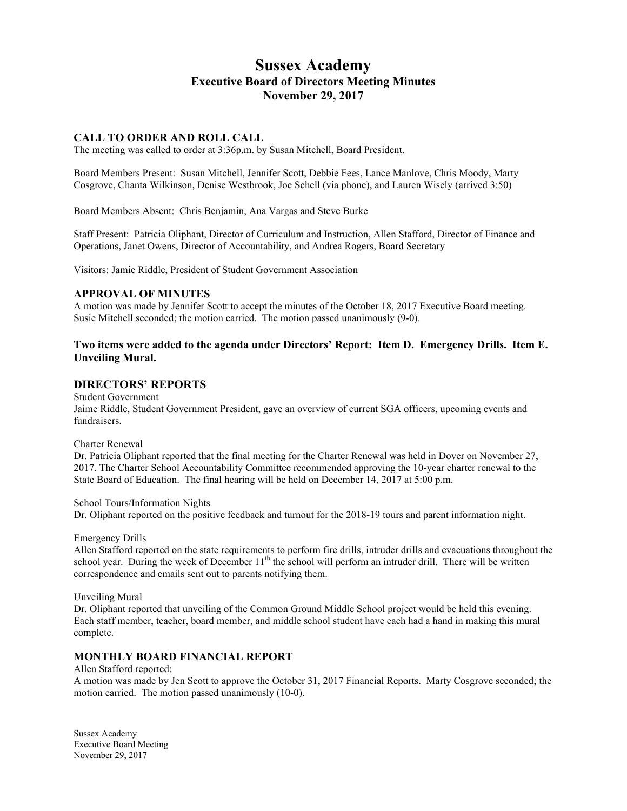# **Sussex Academy Executive Board of Directors Meeting Minutes November 29, 2017**

### **CALL TO ORDER AND ROLL CALL**

The meeting was called to order at 3:36p.m. by Susan Mitchell, Board President.

Board Members Present: Susan Mitchell, Jennifer Scott, Debbie Fees, Lance Manlove, Chris Moody, Marty Cosgrove, Chanta Wilkinson, Denise Westbrook, Joe Schell (via phone), and Lauren Wisely (arrived 3:50)

Board Members Absent: Chris Benjamin, Ana Vargas and Steve Burke

Staff Present: Patricia Oliphant, Director of Curriculum and Instruction, Allen Stafford, Director of Finance and Operations, Janet Owens, Director of Accountability, and Andrea Rogers, Board Secretary

Visitors: Jamie Riddle, President of Student Government Association

### **APPROVAL OF MINUTES**

A motion was made by Jennifer Scott to accept the minutes of the October 18, 2017 Executive Board meeting. Susie Mitchell seconded; the motion carried. The motion passed unanimously (9-0).

### **Two items were added to the agenda under Directors' Report: Item D. Emergency Drills. Item E. Unveiling Mural.**

## **DIRECTORS' REPORTS**

Student Government

Jaime Riddle, Student Government President, gave an overview of current SGA officers, upcoming events and fundraisers.

Charter Renewal

Dr. Patricia Oliphant reported that the final meeting for the Charter Renewal was held in Dover on November 27, 2017. The Charter School Accountability Committee recommended approving the 10-year charter renewal to the State Board of Education. The final hearing will be held on December 14, 2017 at 5:00 p.m.

#### School Tours/Information Nights

Dr. Oliphant reported on the positive feedback and turnout for the 2018-19 tours and parent information night.

#### Emergency Drills

Allen Stafford reported on the state requirements to perform fire drills, intruder drills and evacuations throughout the school year. During the week of December  $11<sup>th</sup>$  the school will perform an intruder drill. There will be written correspondence and emails sent out to parents notifying them.

#### Unveiling Mural

Dr. Oliphant reported that unveiling of the Common Ground Middle School project would be held this evening. Each staff member, teacher, board member, and middle school student have each had a hand in making this mural complete.

### **MONTHLY BOARD FINANCIAL REPORT**

Allen Stafford reported:

A motion was made by Jen Scott to approve the October 31, 2017 Financial Reports. Marty Cosgrove seconded; the motion carried. The motion passed unanimously (10-0).

Sussex Academy Executive Board Meeting November 29, 2017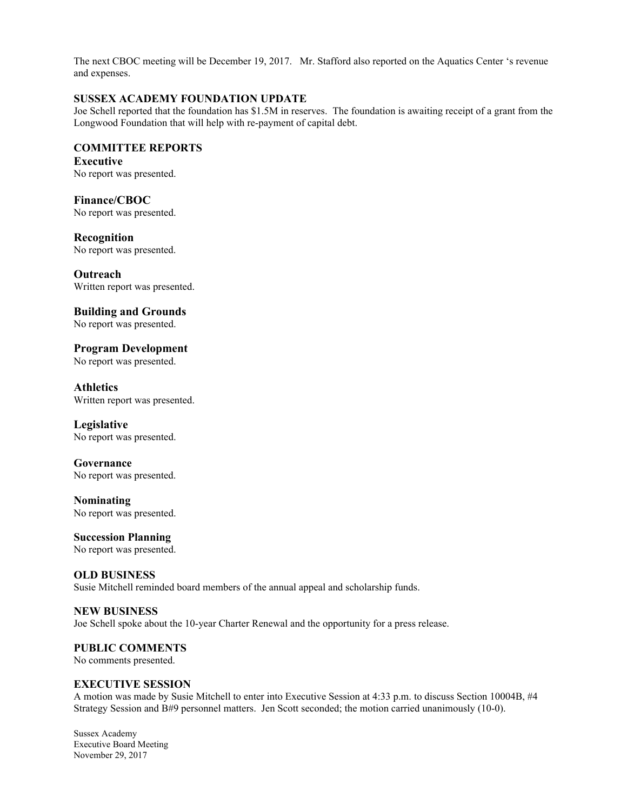The next CBOC meeting will be December 19, 2017. Mr. Stafford also reported on the Aquatics Center 's revenue and expenses.

# **SUSSEX ACADEMY FOUNDATION UPDATE**

Joe Schell reported that the foundation has \$1.5M in reserves. The foundation is awaiting receipt of a grant from the Longwood Foundation that will help with re-payment of capital debt.

# **COMMITTEE REPORTS**

**Executive** No report was presented.

**Finance/CBOC** 

No report was presented.

**Recognition** No report was presented.

**Outreach** Written report was presented.

**Building and Grounds** No report was presented.

**Program Development** No report was presented.

**Athletics** Written report was presented.

**Legislative** No report was presented.

**Governance** No report was presented.

**Nominating** No report was presented.

**Succession Planning** No report was presented.

**OLD BUSINESS** Susie Mitchell reminded board members of the annual appeal and scholarship funds.

**NEW BUSINESS** Joe Schell spoke about the 10-year Charter Renewal and the opportunity for a press release.

**PUBLIC COMMENTS**

No comments presented.

# **EXECUTIVE SESSION**

A motion was made by Susie Mitchell to enter into Executive Session at 4:33 p.m. to discuss Section 10004B, #4 Strategy Session and B#9 personnel matters. Jen Scott seconded; the motion carried unanimously (10-0).

Sussex Academy Executive Board Meeting November 29, 2017